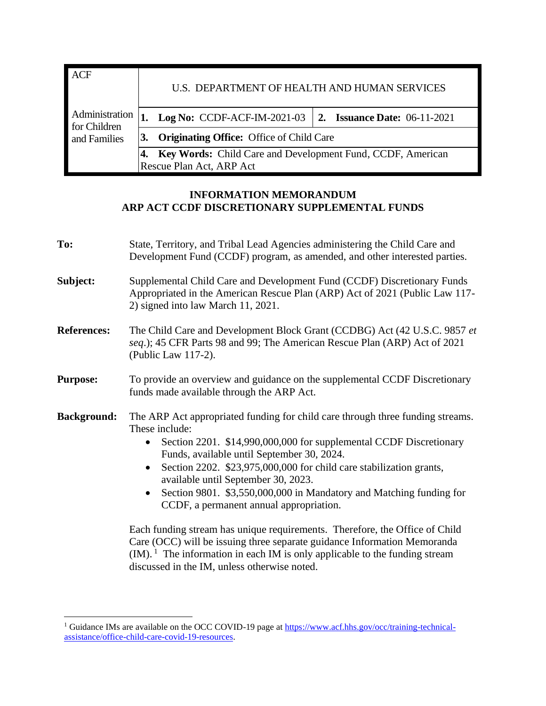| <b>ACF</b>                     | U.S. DEPARTMENT OF HEALTH AND HUMAN SERVICES |                                                                          |  |  |
|--------------------------------|----------------------------------------------|--------------------------------------------------------------------------|--|--|
| Administration<br>for Children |                                              | <b>Log No:</b> CCDF-ACF-IM-2021-03   2. <b>Issuance Date:</b> 06-11-2021 |  |  |
| and Families                   |                                              | <b>Originating Office:</b> Office of Child Care                          |  |  |
|                                |                                              | Key Words: Child Care and Development Fund, CCDF, American               |  |  |
|                                | Rescue Plan Act, ARP Act                     |                                                                          |  |  |

# **INFORMATION MEMORANDUM ARP ACT CCDF DISCRETIONARY SUPPLEMENTAL FUNDS**

| To:                | State, Territory, and Tribal Lead Agencies administering the Child Care and<br>Development Fund (CCDF) program, as amended, and other interested parties.                                                                                                                                                                                                                                                                                                                                                                                                                                                                                                                                                                                                                                          |  |  |
|--------------------|----------------------------------------------------------------------------------------------------------------------------------------------------------------------------------------------------------------------------------------------------------------------------------------------------------------------------------------------------------------------------------------------------------------------------------------------------------------------------------------------------------------------------------------------------------------------------------------------------------------------------------------------------------------------------------------------------------------------------------------------------------------------------------------------------|--|--|
| Subject:           | Supplemental Child Care and Development Fund (CCDF) Discretionary Funds<br>Appropriated in the American Rescue Plan (ARP) Act of 2021 (Public Law 117-<br>2) signed into law March 11, 2021.                                                                                                                                                                                                                                                                                                                                                                                                                                                                                                                                                                                                       |  |  |
| <b>References:</b> | The Child Care and Development Block Grant (CCDBG) Act (42 U.S.C. 9857 et<br>seq.); 45 CFR Parts 98 and 99; The American Rescue Plan (ARP) Act of 2021<br>(Public Law 117-2).                                                                                                                                                                                                                                                                                                                                                                                                                                                                                                                                                                                                                      |  |  |
| <b>Purpose:</b>    | To provide an overview and guidance on the supplemental CCDF Discretionary<br>funds made available through the ARP Act.                                                                                                                                                                                                                                                                                                                                                                                                                                                                                                                                                                                                                                                                            |  |  |
| <b>Background:</b> | The ARP Act appropriated funding for child care through three funding streams.<br>These include:<br>Section 2201. \$14,990,000,000 for supplemental CCDF Discretionary<br>$\bullet$<br>Funds, available until September 30, 2024.<br>Section 2202. \$23,975,000,000 for child care stabilization grants,<br>$\bullet$<br>available until September 30, 2023.<br>Section 9801. \$3,550,000,000 in Mandatory and Matching funding for<br>$\bullet$<br>CCDF, a permanent annual appropriation.<br>Each funding stream has unique requirements. Therefore, the Office of Child<br>Care (OCC) will be issuing three separate guidance Information Memoranda<br>$(IM).$ <sup>1</sup> The information in each IM is only applicable to the funding stream<br>discussed in the IM, unless otherwise noted. |  |  |

<sup>&</sup>lt;sup>1</sup> Guidance IMs are available on the OCC COVID-19 page a[t https://www.acf.hhs.gov/occ/training-technical](https://www.acf.hhs.gov/occ/training-technical-assistance/office-child-care-covid-19-resources)[assistance/office-child-care-covid-19-resources.](https://www.acf.hhs.gov/occ/training-technical-assistance/office-child-care-covid-19-resources)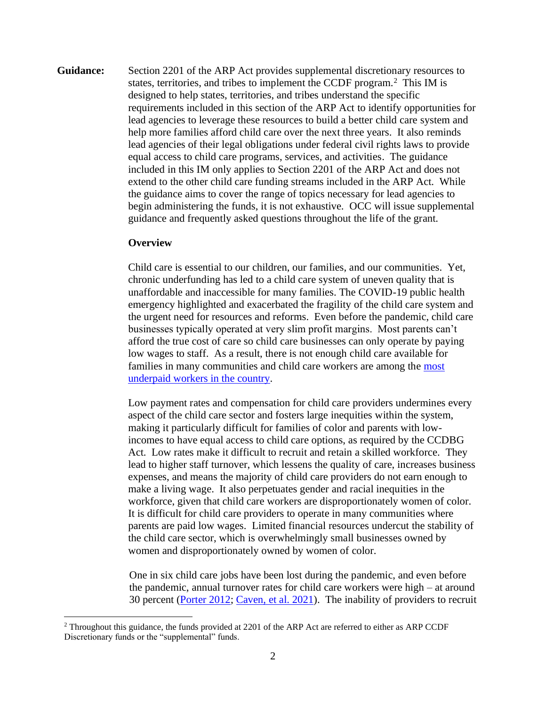**Guidance:** Section 2201 of the ARP Act provides supplemental discretionary resources to states, territories, and tribes to implement the CCDF program.<sup>2</sup> This IM is designed to help states, territories, and tribes understand the specific requirements included in this section of the ARP Act to identify opportunities for lead agencies to leverage these resources to build a better child care system and help more families afford child care over the next three years. It also reminds lead agencies of their legal obligations under federal civil rights laws to provide equal access to child care programs, services, and activities. The guidance included in this IM only applies to Section 2201 of the ARP Act and does not extend to the other child care funding streams included in the ARP Act. While the guidance aims to cover the range of topics necessary for lead agencies to begin administering the funds, it is not exhaustive. OCC will issue supplemental guidance and frequently asked questions throughout the life of the grant.

## **Overview**

Child care is essential to our children, our families, and our communities. Yet, chronic underfunding has led to a child care system of uneven quality that is unaffordable and inaccessible for many families. The COVID-19 public health emergency highlighted and exacerbated the fragility of the child care system and the urgent need for resources and reforms. Even before the pandemic, child care businesses typically operated at very slim profit margins. Most parents can't afford the true cost of care so child care businesses can only operate by paying low wages to staff. As a result, there is not enough child care available for families in many communities and child care workers are among the [most](https://cscce.berkeley.edu/workforce-index-2020/the-early-educator-workforce/early-educator-pay-economic-insecurity-across-the-states/)  [underpaid workers in the country.](https://cscce.berkeley.edu/workforce-index-2020/the-early-educator-workforce/early-educator-pay-economic-insecurity-across-the-states/)

Low payment rates and compensation for child care providers undermines every aspect of the child care sector and fosters large inequities within the system, making it particularly difficult for families of color and parents with lowincomes to have equal access to child care options, as required by the CCDBG Act. Low rates make it difficult to recruit and retain a skilled workforce. They lead to higher staff turnover, which lessens the quality of care, increases business expenses, and means the majority of child care providers do not earn enough to make a living wage. It also perpetuates gender and racial inequities in the workforce, given that child care workers are disproportionately women of color. It is difficult for child care providers to operate in many communities where parents are paid low wages. Limited financial resources undercut the stability of the child care sector, which is overwhelmingly small businesses owned by women and disproportionately owned by women of color.

One in six child care jobs have been lost during the pandemic, and even before the pandemic, annual turnover rates for child care workers were high – at around 30 percent [\(Porter 2012;](https://www.childresearch.net/projects/ecec/2012_04.html) [Caven, et al. 2021\)](https://ies.ed.gov/ncee/edlabs/regions/northeast/pdf/REL_2021069.pdf). The inability of providers to recruit

<sup>&</sup>lt;sup>2</sup> Throughout this guidance, the funds provided at 2201 of the ARP Act are referred to either as ARP CCDF Discretionary funds or the "supplemental" funds.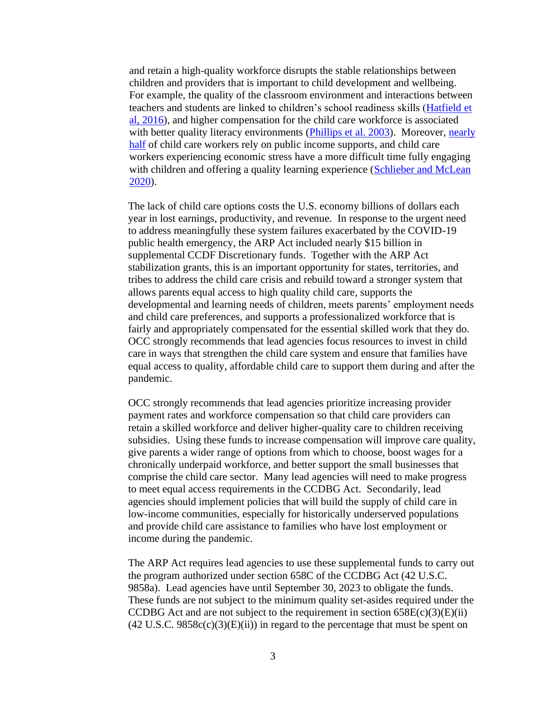and retain a high-quality workforce disrupts the stable relationships between children and providers that is important to child development and wellbeing. For example, the quality of the classroom environment and interactions between teachers and students are linked to children's school readiness skills [\(Hatfield et](https://daneshyari.com/article/preview/353687.pdf)  [al, 2016\)](https://daneshyari.com/article/preview/353687.pdf), and higher compensation for the child care workforce is associated with better quality literacy environments (*Phillips et al. 2003*). Moreover, *nearly* [half](https://cscce.berkeley.edu/wp-content/uploads/2014/ReportFINAL.pdf) of child care workers rely on public income supports, and child care workers experiencing economic stress have a more difficult time fully engaging with children and offering a quality learning experience (Schlieber and McLean [2020\)](https://cscce.berkeley.edu/educator-work-environments-are-childrens-learning-environments-how-and-why-they-should-be-improved/).

The lack of child care options costs the U.S. economy billions of dollars each year in lost earnings, productivity, and revenue. In response to the urgent need to address meaningfully these system failures exacerbated by the COVID-19 public health emergency, the ARP Act included nearly \$15 billion in supplemental CCDF Discretionary funds. Together with the ARP Act stabilization grants, this is an important opportunity for states, territories, and tribes to address the child care crisis and rebuild toward a stronger system that allows parents equal access to high quality child care, supports the developmental and learning needs of children, meets parents' employment needs and child care preferences, and supports a professionalized workforce that is fairly and appropriately compensated for the essential skilled work that they do. OCC strongly recommends that lead agencies focus resources to invest in child care in ways that strengthen the child care system and ensure that families have equal access to quality, affordable child care to support them during and after the pandemic.

OCC strongly recommends that lead agencies prioritize increasing provider payment rates and workforce compensation so that child care providers can retain a skilled workforce and deliver higher-quality care to children receiving subsidies. Using these funds to increase compensation will improve care quality, give parents a wider range of options from which to choose, boost wages for a chronically underpaid workforce, and better support the small businesses that comprise the child care sector. Many lead agencies will need to make progress to meet equal access requirements in the CCDBG Act. Secondarily, lead agencies should implement policies that will build the supply of child care in low-income communities, especially for historically underserved populations and provide child care assistance to families who have lost employment or income during the pandemic.

The ARP Act requires lead agencies to use these supplemental funds to carry out the program authorized under section 658C of the CCDBG Act (42 U.S.C. 9858a). Lead agencies have until September 30, 2023 to obligate the funds. These funds are not subject to the minimum quality set-asides required under the CCDBG Act and are not subject to the requirement in section  $658E(c)(3)(E)(ii)$  $(42 \text{ U.S.C. } 9858c(c)(3)(E)(ii))$  in regard to the percentage that must be spent on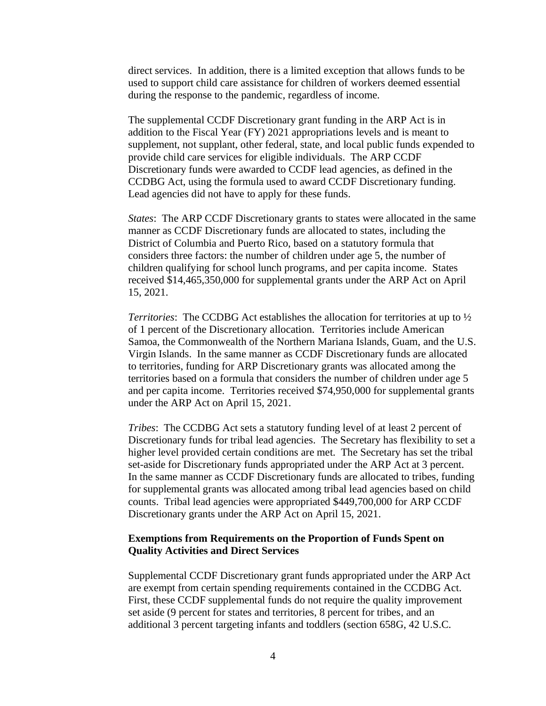direct services. In addition, there is a limited exception that allows funds to be used to support child care assistance for children of workers deemed essential during the response to the pandemic, regardless of income.

The supplemental CCDF Discretionary grant funding in the ARP Act is in addition to the Fiscal Year (FY) 2021 appropriations levels and is meant to supplement, not supplant, other federal, state, and local public funds expended to provide child care services for eligible individuals. The ARP CCDF Discretionary funds were awarded to CCDF lead agencies, as defined in the CCDBG Act, using the formula used to award CCDF Discretionary funding. Lead agencies did not have to apply for these funds.

*States*: The ARP CCDF Discretionary grants to states were allocated in the same manner as CCDF Discretionary funds are allocated to states, including the District of Columbia and Puerto Rico, based on a statutory formula that considers three factors: the number of children under age 5, the number of children qualifying for school lunch programs, and per capita income. States received \$14,465,350,000 for supplemental grants under the ARP Act on April 15, 2021.

*Territories*: The CCDBG Act establishes the allocation for territories at up to ½ of 1 percent of the Discretionary allocation. Territories include American Samoa, the Commonwealth of the Northern Mariana Islands, Guam, and the U.S. Virgin Islands. In the same manner as CCDF Discretionary funds are allocated to territories, funding for ARP Discretionary grants was allocated among the territories based on a formula that considers the number of children under age 5 and per capita income. Territories received \$74,950,000 for supplemental grants under the ARP Act on April 15, 2021.

*Tribes*: The CCDBG Act sets a statutory funding level of at least 2 percent of Discretionary funds for tribal lead agencies. The Secretary has flexibility to set a higher level provided certain conditions are met. The Secretary has set the tribal set-aside for Discretionary funds appropriated under the ARP Act at 3 percent. In the same manner as CCDF Discretionary funds are allocated to tribes, funding for supplemental grants was allocated among tribal lead agencies based on child counts. Tribal lead agencies were appropriated \$449,700,000 for ARP CCDF Discretionary grants under the ARP Act on April 15, 2021.

# **Exemptions from Requirements on the Proportion of Funds Spent on Quality Activities and Direct Services**

Supplemental CCDF Discretionary grant funds appropriated under the ARP Act are exempt from certain spending requirements contained in the CCDBG Act. First, these CCDF supplemental funds do not require the quality improvement set aside (9 percent for states and territories, 8 percent for tribes, and an additional 3 percent targeting infants and toddlers (section 658G, 42 U.S.C.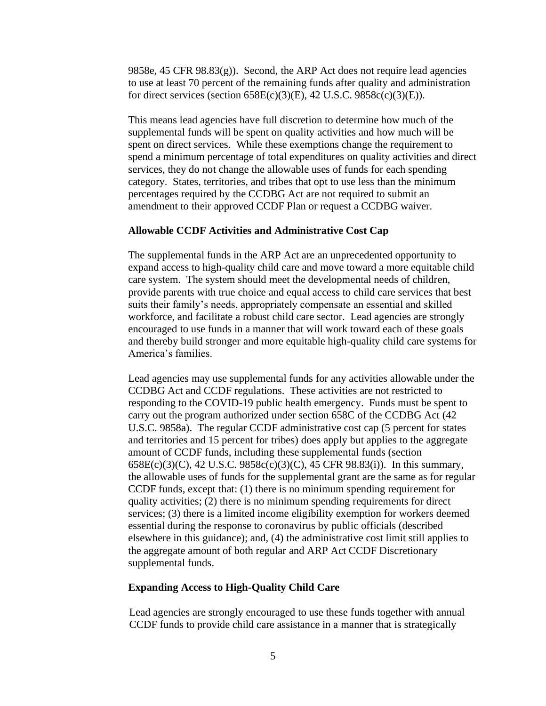9858e, 45 CFR 98.83(g)). Second, the ARP Act does not require lead agencies to use at least 70 percent of the remaining funds after quality and administration for direct services (section  $658E(c)(3)(E)$ , 42 U.S.C.  $9858c(c)(3)(E)$ ).

This means lead agencies have full discretion to determine how much of the supplemental funds will be spent on quality activities and how much will be spent on direct services. While these exemptions change the requirement to spend a minimum percentage of total expenditures on quality activities and direct services, they do not change the allowable uses of funds for each spending category. States, territories, and tribes that opt to use less than the minimum percentages required by the CCDBG Act are not required to submit an amendment to their approved CCDF Plan or request a CCDBG waiver.

# **Allowable CCDF Activities and Administrative Cost Cap**

The supplemental funds in the ARP Act are an unprecedented opportunity to expand access to high-quality child care and move toward a more equitable child care system. The system should meet the developmental needs of children, provide parents with true choice and equal access to child care services that best suits their family's needs, appropriately compensate an essential and skilled workforce, and facilitate a robust child care sector. Lead agencies are strongly encouraged to use funds in a manner that will work toward each of these goals and thereby build stronger and more equitable high-quality child care systems for America's families.

Lead agencies may use supplemental funds for any activities allowable under the CCDBG Act and CCDF regulations. These activities are not restricted to responding to the COVID-19 public health emergency. Funds must be spent to carry out the program authorized under section 658C of the CCDBG Act (42 U.S.C. 9858a). The regular CCDF administrative cost cap (5 percent for states and territories and 15 percent for tribes) does apply but applies to the aggregate amount of CCDF funds, including these supplemental funds (section 658E(c)(3)(C), 42 U.S.C. 9858c(c)(3)(C), 45 CFR 98.83(i)). In this summary, the allowable uses of funds for the supplemental grant are the same as for regular CCDF funds, except that: (1) there is no minimum spending requirement for quality activities; (2) there is no minimum spending requirements for direct services; (3) there is a limited income eligibility exemption for workers deemed essential during the response to coronavirus by public officials (described elsewhere in this guidance); and, (4) the administrative cost limit still applies to the aggregate amount of both regular and ARP Act CCDF Discretionary supplemental funds.

# **Expanding Access to High-Quality Child Care**

Lead agencies are strongly encouraged to use these funds together with annual CCDF funds to provide child care assistance in a manner that is strategically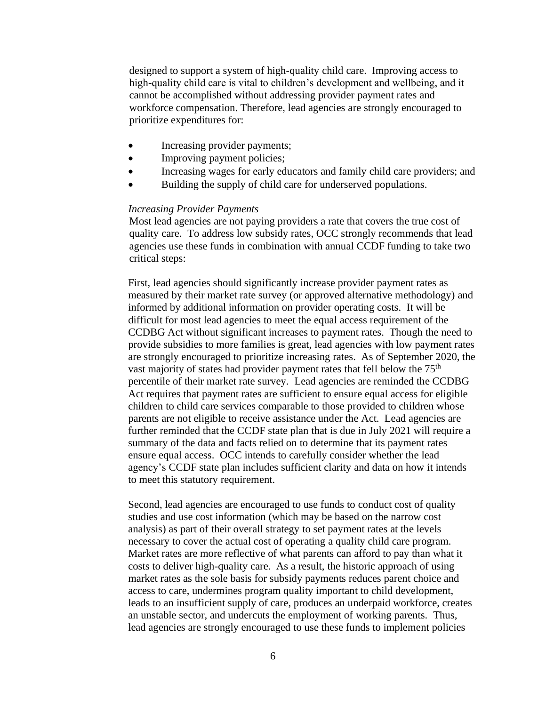designed to support a system of high-quality child care. Improving access to high-quality child care is vital to children's development and wellbeing, and it cannot be accomplished without addressing provider payment rates and workforce compensation. Therefore, lead agencies are strongly encouraged to prioritize expenditures for:

- Increasing provider payments;
- Improving payment policies;
- Increasing wages for early educators and family child care providers; and
- Building the supply of child care for underserved populations.

#### *Increasing Provider Payments*

Most lead agencies are not paying providers a rate that covers the true cost of quality care. To address low subsidy rates, OCC strongly recommends that lead agencies use these funds in combination with annual CCDF funding to take two critical steps:

First, lead agencies should significantly increase provider payment rates as measured by their market rate survey (or approved alternative methodology) and informed by additional information on provider operating costs. It will be difficult for most lead agencies to meet the equal access requirement of the CCDBG Act without significant increases to payment rates. Though the need to provide subsidies to more families is great, lead agencies with low payment rates are strongly encouraged to prioritize increasing rates. As of September 2020, the vast majority of states had provider payment rates that fell below the 75<sup>th</sup> percentile of their market rate survey. Lead agencies are reminded the CCDBG Act requires that payment rates are sufficient to ensure equal access for eligible children to child care services comparable to those provided to children whose parents are not eligible to receive assistance under the Act. Lead agencies are further reminded that the CCDF state plan that is due in July 2021 will require a summary of the data and facts relied on to determine that its payment rates ensure equal access. OCC intends to carefully consider whether the lead agency's CCDF state plan includes sufficient clarity and data on how it intends to meet this statutory requirement.

Second, lead agencies are encouraged to use funds to conduct cost of quality studies and use cost information (which may be based on the narrow cost analysis) as part of their overall strategy to set payment rates at the levels necessary to cover the actual cost of operating a quality child care program. Market rates are more reflective of what parents can afford to pay than what it costs to deliver high-quality care. As a result, the historic approach of using market rates as the sole basis for subsidy payments reduces parent choice and access to care, undermines program quality important to child development, leads to an insufficient supply of care, produces an underpaid workforce, creates an unstable sector, and undercuts the employment of working parents. Thus, lead agencies are strongly encouraged to use these funds to implement policies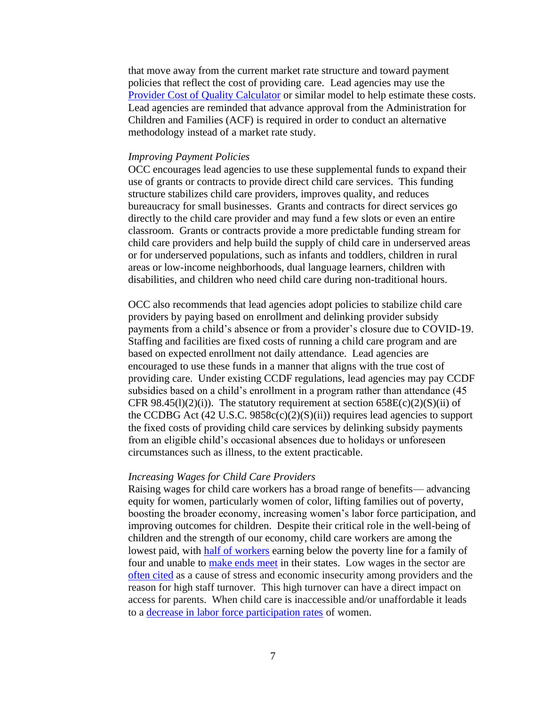that move away from the current market rate structure and toward payment policies that reflect the cost of providing care. Lead agencies may use the [Provider Cost of Quality Calculator](https://childcareta.acf.hhs.gov/pcqc) or similar model to help estimate these costs. Lead agencies are reminded that advance approval from the Administration for Children and Families (ACF) is required in order to conduct an alternative methodology instead of a market rate study.

## *Improving Payment Policies*

OCC encourages lead agencies to use these supplemental funds to expand their use of grants or contracts to provide direct child care services. This funding structure stabilizes child care providers, improves quality, and reduces bureaucracy for small businesses. Grants and contracts for direct services go directly to the child care provider and may fund a few slots or even an entire classroom. Grants or contracts provide a more predictable funding stream for child care providers and help build the supply of child care in underserved areas or for underserved populations, such as infants and toddlers, children in rural areas or low-income neighborhoods, dual language learners, children with disabilities, and children who need child care during non-traditional hours.

OCC also recommends that lead agencies adopt policies to stabilize child care providers by paying based on enrollment and delinking provider subsidy payments from a child's absence or from a provider's closure due to COVID-19. Staffing and facilities are fixed costs of running a child care program and are based on expected enrollment not daily attendance. Lead agencies are encouraged to use these funds in a manner that aligns with the true cost of providing care. Under existing CCDF regulations, lead agencies may pay CCDF subsidies based on a child's enrollment in a program rather than attendance (45 CFR  $98.45(1)(2)(i)$ ). The statutory requirement at section  $658E(c)(2)(S)(ii)$  of the CCDBG Act  $(42 \text{ U.S.C. } 9858c(c)(2)(S)(ii))$  requires lead agencies to support the fixed costs of providing child care services by delinking subsidy payments from an eligible child's occasional absences due to holidays or unforeseen circumstances such as illness, to the extent practicable.

### *Increasing Wages for Child Care Providers*

Raising wages for child care workers has a broad range of benefits— advancing equity for women, particularly women of color, lifting families out of poverty, boosting the broader economy, increasing women's labor force participation, and improving outcomes for children. Despite their critical role in the well-being of children and the strength of our economy, child care workers are among the lowest paid, with [half of workers](https://www.bls.gov/oes/current/oes399011.htm) earning below the poverty line for a family of four and unable to [make ends meet](https://cscce.berkeley.edu/workforce-index-2020/the-early-educator-workforce/early-educator-pay-economic-insecurity-across-the-states/) in their states. Low wages in the sector are [often cited](https://cscce.berkeley.edu/topic/teacher-work-environments/sequal/teachers-voices/) as a cause of stress and economic insecurity among providers and the reason for high staff turnover. This high turnover can have a direct impact on access for parents. When child care is inaccessible and/or unaffordable it leads to a [decrease in labor force participation rates](https://equitablegrowth.org/is-the-cost-of-childcare-driving-women-out-of-the-u-s-workforce/) of women.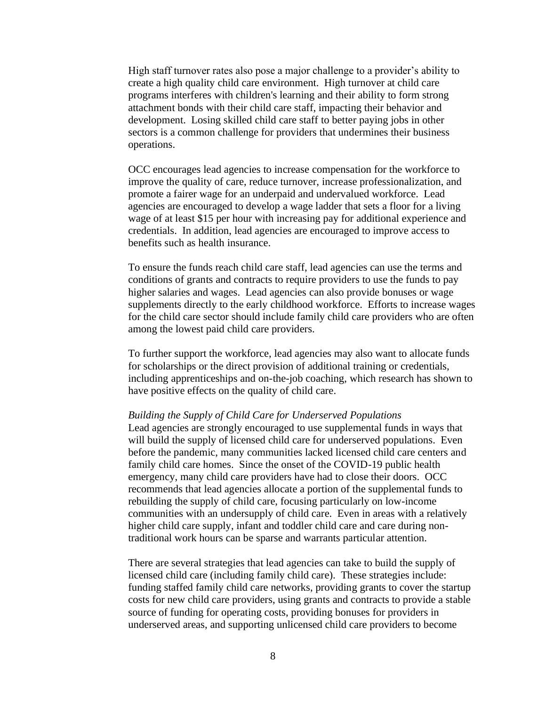High staff turnover rates also pose a major challenge to a provider's ability to create a high quality child care environment. High turnover at child care programs interferes with children's learning and their ability to form strong attachment bonds with their child care staff, impacting their behavior and development. Losing skilled child care staff to better paying jobs in other sectors is a common challenge for providers that undermines their business operations.

OCC encourages lead agencies to increase compensation for the workforce to improve the quality of care, reduce turnover, increase professionalization, and promote a fairer wage for an underpaid and undervalued workforce. Lead agencies are encouraged to develop a wage ladder that sets a floor for a living wage of at least \$15 per hour with increasing pay for additional experience and credentials. In addition, lead agencies are encouraged to improve access to benefits such as health insurance.

To ensure the funds reach child care staff, lead agencies can use the terms and conditions of grants and contracts to require providers to use the funds to pay higher salaries and wages. Lead agencies can also provide bonuses or wage supplements directly to the early childhood workforce. Efforts to increase wages for the child care sector should include family child care providers who are often among the lowest paid child care providers.

To further support the workforce, lead agencies may also want to allocate funds for scholarships or the direct provision of additional training or credentials, including apprenticeships and on-the-job coaching, which research has shown to have positive effects on the quality of child care.

#### *Building the Supply of Child Care for Underserved Populations*

Lead agencies are strongly encouraged to use supplemental funds in ways that will build the supply of licensed child care for underserved populations. Even before the pandemic, many communities lacked licensed child care centers and family child care homes. Since the onset of the COVID-19 public health emergency, many child care providers have had to close their doors. OCC recommends that lead agencies allocate a portion of the supplemental funds to rebuilding the supply of child care, focusing particularly on low-income communities with an undersupply of child care. Even in areas with a relatively higher child care supply, infant and toddler child care and care during nontraditional work hours can be sparse and warrants particular attention.

There are several strategies that lead agencies can take to build the supply of licensed child care (including family child care). These strategies include: funding staffed family child care networks, providing grants to cover the startup costs for new child care providers, using grants and contracts to provide a stable source of funding for operating costs, providing bonuses for providers in underserved areas, and supporting unlicensed child care providers to become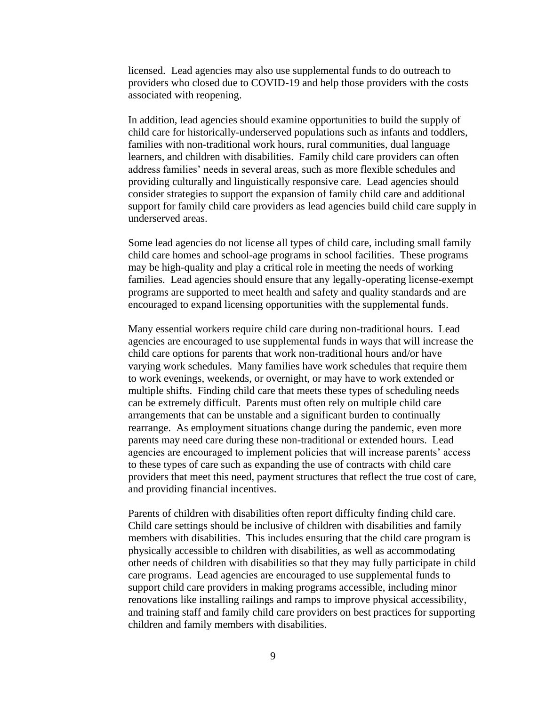licensed. Lead agencies may also use supplemental funds to do outreach to providers who closed due to COVID-19 and help those providers with the costs associated with reopening.

In addition, lead agencies should examine opportunities to build the supply of child care for historically-underserved populations such as infants and toddlers, families with non-traditional work hours, rural communities, dual language learners, and children with disabilities. Family child care providers can often address families' needs in several areas, such as more flexible schedules and providing culturally and linguistically responsive care. Lead agencies should consider strategies to support the expansion of family child care and additional support for family child care providers as lead agencies build child care supply in underserved areas.

Some lead agencies do not license all types of child care, including small family child care homes and school-age programs in school facilities. These programs may be high-quality and play a critical role in meeting the needs of working families. Lead agencies should ensure that any legally-operating license-exempt programs are supported to meet health and safety and quality standards and are encouraged to expand licensing opportunities with the supplemental funds.

Many essential workers require child care during non-traditional hours. Lead agencies are encouraged to use supplemental funds in ways that will increase the child care options for parents that work non-traditional hours and/or have varying work schedules. Many families have work schedules that require them to work evenings, weekends, or overnight, or may have to work extended or multiple shifts. Finding child care that meets these types of scheduling needs can be extremely difficult. Parents must often rely on multiple child care arrangements that can be unstable and a significant burden to continually rearrange. As employment situations change during the pandemic, even more parents may need care during these non-traditional or extended hours. Lead agencies are encouraged to implement policies that will increase parents' access to these types of care such as expanding the use of contracts with child care providers that meet this need, payment structures that reflect the true cost of care, and providing financial incentives.

Parents of children with disabilities often report difficulty finding child care. Child care settings should be inclusive of children with disabilities and family members with disabilities. This includes ensuring that the child care program is physically accessible to children with disabilities, as well as accommodating other needs of children with disabilities so that they may fully participate in child care programs. Lead agencies are encouraged to use supplemental funds to support child care providers in making programs accessible, including minor renovations like installing railings and ramps to improve physical accessibility, and training staff and family child care providers on best practices for supporting children and family members with disabilities.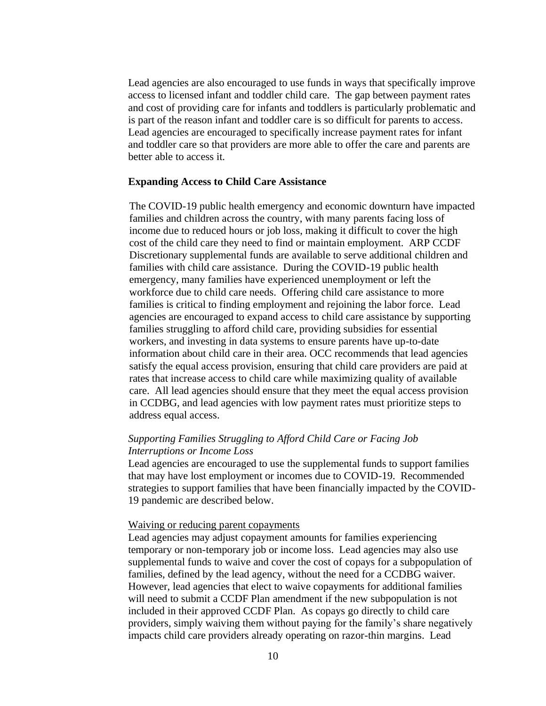Lead agencies are also encouraged to use funds in ways that specifically improve access to licensed infant and toddler child care. The gap between payment rates and cost of providing care for infants and toddlers is particularly problematic and is part of the reason infant and toddler care is so difficult for parents to access. Lead agencies are encouraged to specifically increase payment rates for infant and toddler care so that providers are more able to offer the care and parents are better able to access it.

# **Expanding Access to Child Care Assistance**

The COVID-19 public health emergency and economic downturn have impacted families and children across the country, with many parents facing loss of income due to reduced hours or job loss, making it difficult to cover the high cost of the child care they need to find or maintain employment. ARP CCDF Discretionary supplemental funds are available to serve additional children and families with child care assistance. During the COVID-19 public health emergency, many families have experienced unemployment or left the workforce due to child care needs. Offering child care assistance to more families is critical to finding employment and rejoining the labor force. Lead agencies are encouraged to expand access to child care assistance by supporting families struggling to afford child care, providing subsidies for essential workers, and investing in data systems to ensure parents have up-to-date information about child care in their area. OCC recommends that lead agencies satisfy the equal access provision, ensuring that child care providers are paid at rates that increase access to child care while maximizing quality of available care. All lead agencies should ensure that they meet the equal access provision in CCDBG, and lead agencies with low payment rates must prioritize steps to address equal access.

# *Supporting Families Struggling to Afford Child Care or Facing Job Interruptions or Income Loss*

Lead agencies are encouraged to use the supplemental funds to support families that may have lost employment or incomes due to COVID-19. Recommended strategies to support families that have been financially impacted by the COVID-19 pandemic are described below.

# Waiving or reducing parent copayments

Lead agencies may adjust copayment amounts for families experiencing temporary or non-temporary job or income loss. Lead agencies may also use supplemental funds to waive and cover the cost of copays for a subpopulation of families, defined by the lead agency, without the need for a CCDBG waiver. However, lead agencies that elect to waive copayments for additional families will need to submit a CCDF Plan amendment if the new subpopulation is not included in their approved CCDF Plan. As copays go directly to child care providers, simply waiving them without paying for the family's share negatively impacts child care providers already operating on razor-thin margins. Lead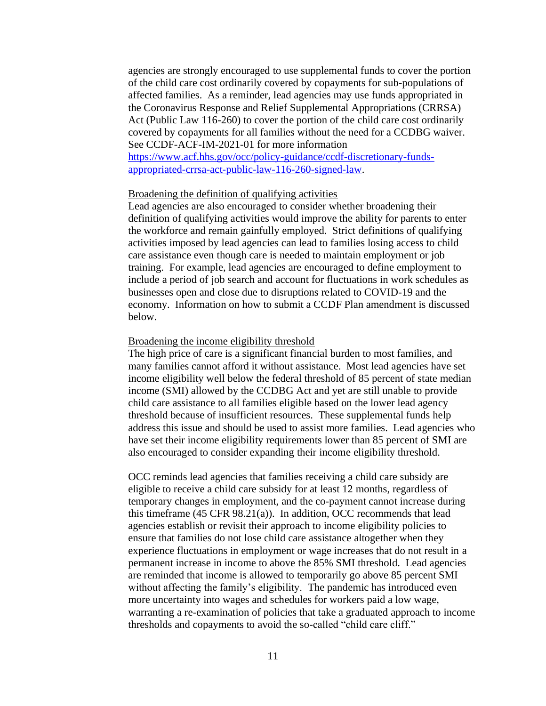agencies are strongly encouraged to use supplemental funds to cover the portion of the child care cost ordinarily covered by copayments for sub-populations of affected families. As a reminder, lead agencies may use funds appropriated in the Coronavirus Response and Relief Supplemental Appropriations (CRRSA) Act (Public Law 116-260) to cover the portion of the child care cost ordinarily covered by copayments for all families without the need for a CCDBG waiver. See CCDF-ACF-IM-2021-01 for more information

[https://www.acf.hhs.gov/occ/policy-guidance/ccdf-discretionary-funds](https://www.acf.hhs.gov/occ/policy-guidance/ccdf-discretionary-funds-appropriated-crrsa-act-public-law-116-260-signed-law)[appropriated-crrsa-act-public-law-116-260-signed-law.](https://www.acf.hhs.gov/occ/policy-guidance/ccdf-discretionary-funds-appropriated-crrsa-act-public-law-116-260-signed-law)

## Broadening the definition of qualifying activities

Lead agencies are also encouraged to consider whether broadening their definition of qualifying activities would improve the ability for parents to enter the workforce and remain gainfully employed. Strict definitions of qualifying activities imposed by lead agencies can lead to families losing access to child care assistance even though care is needed to maintain employment or job training. For example, lead agencies are encouraged to define employment to include a period of job search and account for fluctuations in work schedules as businesses open and close due to disruptions related to COVID-19 and the economy. Information on how to submit a CCDF Plan amendment is discussed below.

#### Broadening the income eligibility threshold

The high price of care is a significant financial burden to most families, and many families cannot afford it without assistance. Most lead agencies have set income eligibility well below the federal threshold of 85 percent of state median income (SMI) allowed by the CCDBG Act and yet are still unable to provide child care assistance to all families eligible based on the lower lead agency threshold because of insufficient resources. These supplemental funds help address this issue and should be used to assist more families. Lead agencies who have set their income eligibility requirements lower than 85 percent of SMI are also encouraged to consider expanding their income eligibility threshold.

OCC reminds lead agencies that families receiving a child care subsidy are eligible to receive a child care subsidy for at least 12 months, regardless of temporary changes in employment, and the co-payment cannot increase during this timeframe (45 CFR 98.21(a)). In addition, OCC recommends that lead agencies establish or revisit their approach to income eligibility policies to ensure that families do not lose child care assistance altogether when they experience fluctuations in employment or wage increases that do not result in a permanent increase in income to above the 85% SMI threshold. Lead agencies are reminded that income is allowed to temporarily go above 85 percent SMI without affecting the family's eligibility. The pandemic has introduced even more uncertainty into wages and schedules for workers paid a low wage, warranting a re-examination of policies that take a graduated approach to income thresholds and copayments to avoid the so-called "child care cliff."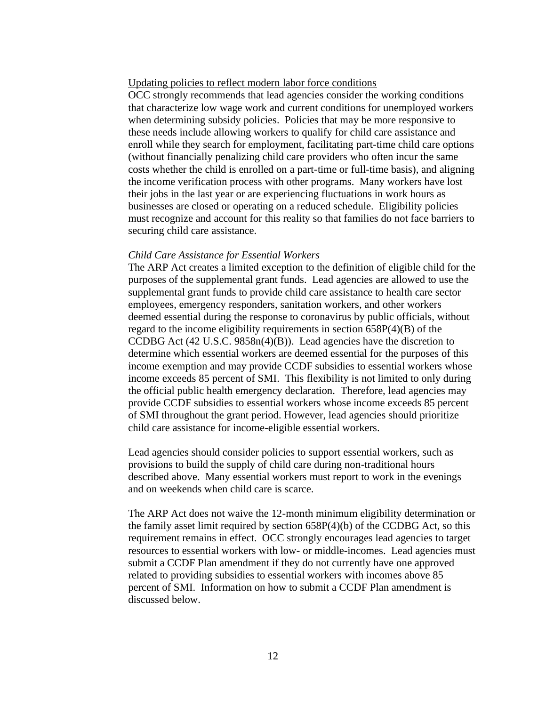# Updating policies to reflect modern labor force conditions

OCC strongly recommends that lead agencies consider the working conditions that characterize low wage work and current conditions for unemployed workers when determining subsidy policies. Policies that may be more responsive to these needs include allowing workers to qualify for child care assistance and enroll while they search for employment, facilitating part-time child care options (without financially penalizing child care providers who often incur the same costs whether the child is enrolled on a part-time or full-time basis), and aligning the income verification process with other programs. Many workers have lost their jobs in the last year or are experiencing fluctuations in work hours as businesses are closed or operating on a reduced schedule. Eligibility policies must recognize and account for this reality so that families do not face barriers to securing child care assistance.

#### *Child Care Assistance for Essential Workers*

The ARP Act creates a limited exception to the definition of eligible child for the purposes of the supplemental grant funds. Lead agencies are allowed to use the supplemental grant funds to provide child care assistance to health care sector employees, emergency responders, sanitation workers, and other workers deemed essential during the response to coronavirus by public officials, without regard to the income eligibility requirements in section 658P(4)(B) of the CCDBG Act (42 U.S.C. 9858n(4)(B)). Lead agencies have the discretion to determine which essential workers are deemed essential for the purposes of this income exemption and may provide CCDF subsidies to essential workers whose income exceeds 85 percent of SMI. This flexibility is not limited to only during the official public health emergency declaration. Therefore, lead agencies may provide CCDF subsidies to essential workers whose income exceeds 85 percent of SMI throughout the grant period. However, lead agencies should prioritize child care assistance for income-eligible essential workers.

Lead agencies should consider policies to support essential workers, such as provisions to build the supply of child care during non-traditional hours described above. Many essential workers must report to work in the evenings and on weekends when child care is scarce.

The ARP Act does not waive the 12-month minimum eligibility determination or the family asset limit required by section  $658P(4)(b)$  of the CCDBG Act, so this requirement remains in effect. OCC strongly encourages lead agencies to target resources to essential workers with low- or middle-incomes. Lead agencies must submit a CCDF Plan amendment if they do not currently have one approved related to providing subsidies to essential workers with incomes above 85 percent of SMI. Information on how to submit a CCDF Plan amendment is discussed below.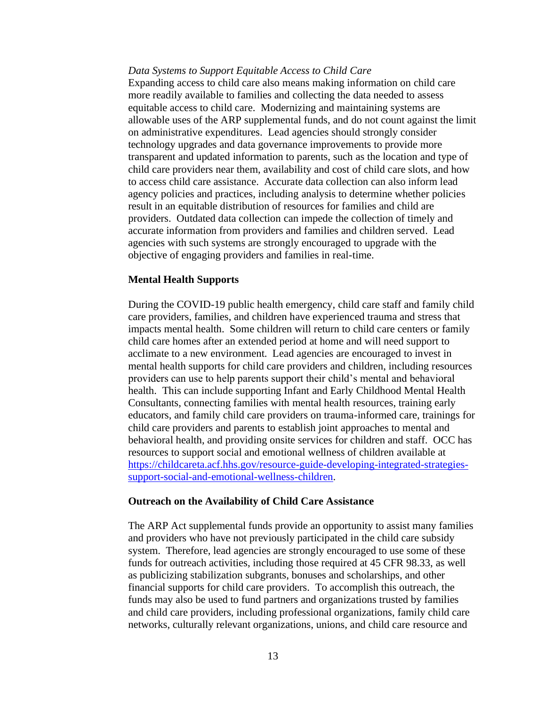#### *Data Systems to Support Equitable Access to Child Care*

Expanding access to child care also means making information on child care more readily available to families and collecting the data needed to assess equitable access to child care. Modernizing and maintaining systems are allowable uses of the ARP supplemental funds, and do not count against the limit on administrative expenditures. Lead agencies should strongly consider technology upgrades and data governance improvements to provide more transparent and updated information to parents, such as the location and type of child care providers near them, availability and cost of child care slots, and how to access child care assistance. Accurate data collection can also inform lead agency policies and practices, including analysis to determine whether policies result in an equitable distribution of resources for families and child are providers. Outdated data collection can impede the collection of timely and accurate information from providers and families and children served. Lead agencies with such systems are strongly encouraged to upgrade with the objective of engaging providers and families in real-time.

# **Mental Health Supports**

During the COVID-19 public health emergency, child care staff and family child care providers, families, and children have experienced trauma and stress that impacts mental health. Some children will return to child care centers or family child care homes after an extended period at home and will need support to acclimate to a new environment. Lead agencies are encouraged to invest in mental health supports for child care providers and children, including resources providers can use to help parents support their child's mental and behavioral health. This can include supporting Infant and Early Childhood Mental Health Consultants, connecting families with mental health resources, training early educators, and family child care providers on trauma-informed care, trainings for child care providers and parents to establish joint approaches to mental and behavioral health, and providing onsite services for children and staff. OCC has resources to support social and emotional wellness of children available at [https://childcareta.acf.hhs.gov/resource-guide-developing-integrated-strategies](https://childcareta.acf.hhs.gov/resource-guide-developing-integrated-strategies-support-social-and-emotional-wellness-children)[support-social-and-emotional-wellness-children.](https://childcareta.acf.hhs.gov/resource-guide-developing-integrated-strategies-support-social-and-emotional-wellness-children)

## **Outreach on the Availability of Child Care Assistance**

The ARP Act supplemental funds provide an opportunity to assist many families and providers who have not previously participated in the child care subsidy system. Therefore, lead agencies are strongly encouraged to use some of these funds for outreach activities, including those required at 45 CFR 98.33, as well as publicizing stabilization subgrants, bonuses and scholarships, and other financial supports for child care providers. To accomplish this outreach, the funds may also be used to fund partners and organizations trusted by families and child care providers, including professional organizations, family child care networks, culturally relevant organizations, unions, and child care resource and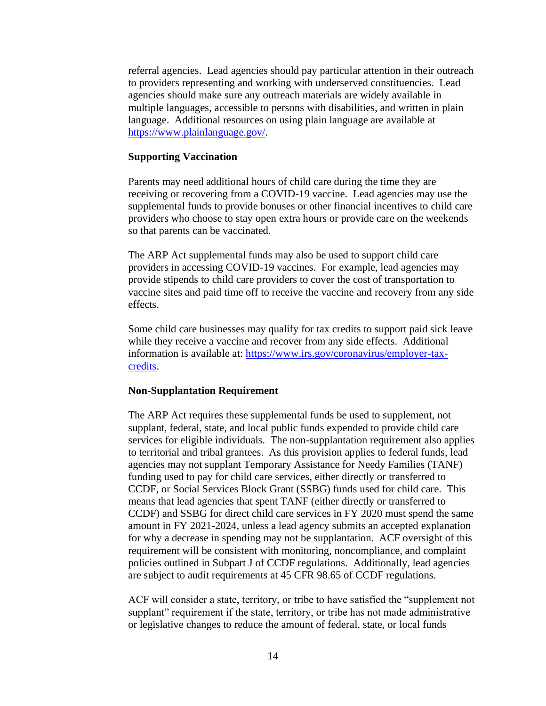referral agencies. Lead agencies should pay particular attention in their outreach to providers representing and working with underserved constituencies. Lead agencies should make sure any outreach materials are widely available in multiple languages, accessible to persons with disabilities, and written in plain language. Additional resources on using plain language are available at [https://www.plainlanguage.gov/.](https://www.plainlanguage.gov/)

#### **Supporting Vaccination**

Parents may need additional hours of child care during the time they are receiving or recovering from a COVID-19 vaccine. Lead agencies may use the supplemental funds to provide bonuses or other financial incentives to child care providers who choose to stay open extra hours or provide care on the weekends so that parents can be vaccinated.

The ARP Act supplemental funds may also be used to support child care providers in accessing COVID-19 vaccines. For example, lead agencies may provide stipends to child care providers to cover the cost of transportation to vaccine sites and paid time off to receive the vaccine and recovery from any side effects.

Some child care businesses may qualify for tax credits to support paid sick leave while they receive a vaccine and recover from any side effects. Additional information is available at: [https://www.irs.gov/coronavirus/employer-tax](https://www.irs.gov/coronavirus/employer-tax-credits)[credits.](https://www.irs.gov/coronavirus/employer-tax-credits)

#### **Non-Supplantation Requirement**

The ARP Act requires these supplemental funds be used to supplement, not supplant, federal, state, and local public funds expended to provide child care services for eligible individuals. The non-supplantation requirement also applies to territorial and tribal grantees. As this provision applies to federal funds, lead agencies may not supplant Temporary Assistance for Needy Families (TANF) funding used to pay for child care services, either directly or transferred to CCDF, or Social Services Block Grant (SSBG) funds used for child care. This means that lead agencies that spent TANF (either directly or transferred to CCDF) and SSBG for direct child care services in FY 2020 must spend the same amount in FY 2021-2024, unless a lead agency submits an accepted explanation for why a decrease in spending may not be supplantation. ACF oversight of this requirement will be consistent with monitoring, noncompliance, and complaint policies outlined in Subpart J of CCDF regulations. Additionally, lead agencies are subject to audit requirements at 45 CFR 98.65 of CCDF regulations.

ACF will consider a state, territory, or tribe to have satisfied the "supplement not supplant" requirement if the state, territory, or tribe has not made administrative or legislative changes to reduce the amount of federal, state, or local funds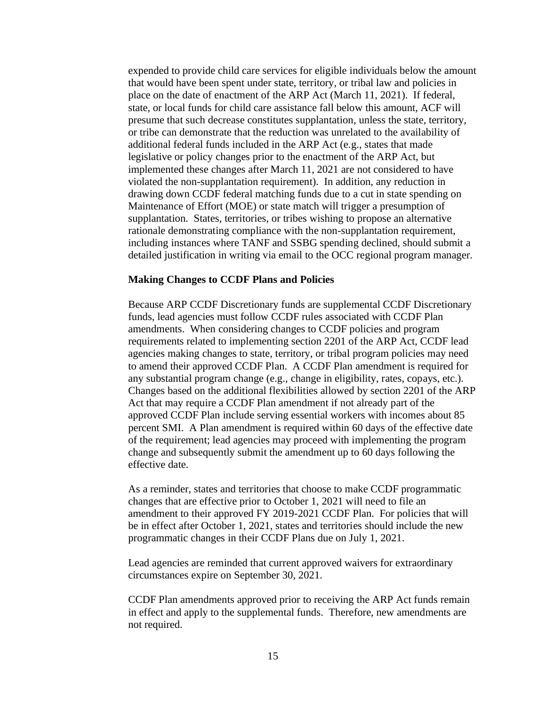expended to provide child care services for eligible individuals below the amount that would have been spent under state, territory, or tribal law and policies in place on the date of enactment of the ARP Act (March 11, 2021). If federal, state, or local funds for child care assistance fall below this amount, ACF will presume that such decrease constitutes supplantation, unless the state, territory, or tribe can demonstrate that the reduction was unrelated to the availability of additional federal funds included in the ARP Act (e.g., states that made legislative or policy changes prior to the enactment of the ARP Act, but implemented these changes after March 11, 2021 are not considered to have violated the non-supplantation requirement). In addition, any reduction in drawing down CCDF federal matching funds due to a cut in state spending on Maintenance of Effort (MOE) or state match will trigger a presumption of supplantation. States, territories, or tribes wishing to propose an alternative rationale demonstrating compliance with the non-supplantation requirement, including instances where TANF and SSBG spending declined, should submit a detailed justification in writing via email to the OCC regional program manager.

### **Making Changes to CCDF Plans and Policies**

Because ARP CCDF Discretionary funds are supplemental CCDF Discretionary funds, lead agencies must follow CCDF rules associated with CCDF Plan amendments. When considering changes to CCDF policies and program requirements related to implementing section 2201 of the ARP Act, CCDF lead agencies making changes to state, territory, or tribal program policies may need to amend their approved CCDF Plan. A CCDF Plan amendment is required for any substantial program change (e.g., change in eligibility, rates, copays, etc.). Changes based on the additional flexibilities allowed by section 2201 of the ARP Act that may require a CCDF Plan amendment if not already part of the approved CCDF Plan include serving essential workers with incomes about 85 percent SMI. A Plan amendment is required within 60 days of the effective date of the requirement; lead agencies may proceed with implementing the program change and subsequently submit the amendment up to 60 days following the effective date.

As a reminder, states and territories that choose to make CCDF programmatic changes that are effective prior to October 1, 2021 will need to file an amendment to their approved FY 2019-2021 CCDF Plan. For policies that will be in effect after October 1, 2021, states and territories should include the new programmatic changes in their CCDF Plans due on July 1, 2021.

Lead agencies are reminded that current approved waivers for extraordinary circumstances expire on September 30, 2021.

CCDF Plan amendments approved prior to receiving the ARP Act funds remain in effect and apply to the supplemental funds. Therefore, new amendments are not required.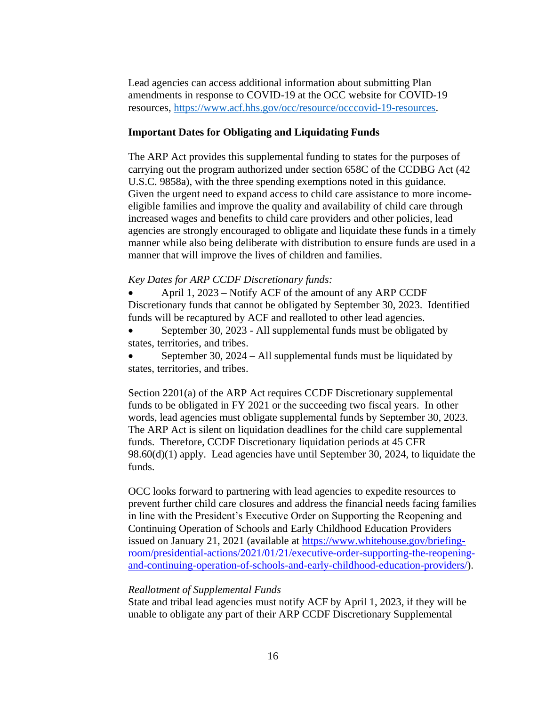Lead agencies can access additional information about submitting Plan amendments in response to COVID-19 at the OCC website for COVID-19 resources, [https://www.acf.hhs.gov/occ/resource/occcovid-19-resources.](https://www.acf.hhs.gov/occ/resource/occ-covid-19-resources)

# **Important Dates for Obligating and Liquidating Funds**

The ARP Act provides this supplemental funding to states for the purposes of carrying out the program authorized under section 658C of the CCDBG Act (42 U.S.C. 9858a), with the three spending exemptions noted in this guidance. Given the urgent need to expand access to child care assistance to more incomeeligible families and improve the quality and availability of child care through increased wages and benefits to child care providers and other policies, lead agencies are strongly encouraged to obligate and liquidate these funds in a timely manner while also being deliberate with distribution to ensure funds are used in a manner that will improve the lives of children and families.

# *Key Dates for ARP CCDF Discretionary funds:*

• April 1, 2023 – Notify ACF of the amount of any ARP CCDF Discretionary funds that cannot be obligated by September 30, 2023. Identified funds will be recaptured by ACF and realloted to other lead agencies.

• September 30, 2023 - All supplemental funds must be obligated by states, territories, and tribes.

September 30,  $2024 - All$  supplemental funds must be liquidated by states, territories, and tribes.

Section 2201(a) of the ARP Act requires CCDF Discretionary supplemental funds to be obligated in FY 2021 or the succeeding two fiscal years. In other words, lead agencies must obligate supplemental funds by September 30, 2023. The ARP Act is silent on liquidation deadlines for the child care supplemental funds. Therefore, CCDF Discretionary liquidation periods at 45 CFR 98.60(d)(1) apply. Lead agencies have until September 30, 2024, to liquidate the funds.

OCC looks forward to partnering with lead agencies to expedite resources to prevent further child care closures and address the financial needs facing families in line with the President's Executive Order on Supporting the Reopening and Continuing Operation of Schools and Early Childhood Education Providers issued on January 21, 2021 (available at [https://www.whitehouse.gov/briefing](https://www.whitehouse.gov/briefing-room/presidential-actions/2021/01/21/executive-order-supporting-the-reopening-and-continuing-operation-of-schools-and-early-childhood-education-providers/)[room/presidential-actions/2021/01/21/executive-order-supporting-the-reopening](https://www.whitehouse.gov/briefing-room/presidential-actions/2021/01/21/executive-order-supporting-the-reopening-and-continuing-operation-of-schools-and-early-childhood-education-providers/)[and-continuing-operation-of-schools-and-early-childhood-education-providers/\)](https://www.whitehouse.gov/briefing-room/presidential-actions/2021/01/21/executive-order-supporting-the-reopening-and-continuing-operation-of-schools-and-early-childhood-education-providers/).

# *Reallotment of Supplemental Funds*

State and tribal lead agencies must notify ACF by April 1, 2023, if they will be unable to obligate any part of their ARP CCDF Discretionary Supplemental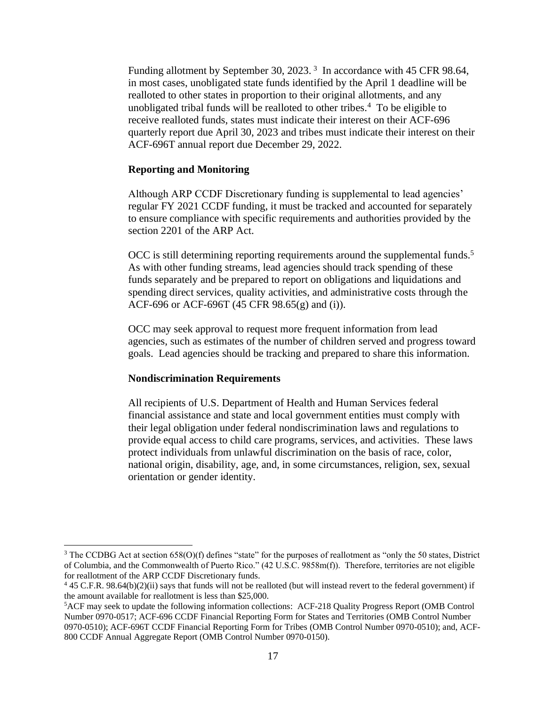Funding allotment by September 30, 2023.<sup>3</sup> In accordance with 45 CFR 98.64, in most cases, unobligated state funds identified by the April 1 deadline will be realloted to other states in proportion to their original allotments, and any unobligated tribal funds will be realloted to other tribes. $4$  To be eligible to receive realloted funds, states must indicate their interest on their ACF-696 quarterly report due April 30, 2023 and tribes must indicate their interest on their ACF-696T annual report due December 29, 2022.

#### **Reporting and Monitoring**

Although ARP CCDF Discretionary funding is supplemental to lead agencies' regular FY 2021 CCDF funding, it must be tracked and accounted for separately to ensure compliance with specific requirements and authorities provided by the section 2201 of the ARP Act.

OCC is still determining reporting requirements around the supplemental funds.<sup>5</sup> As with other funding streams, lead agencies should track spending of these funds separately and be prepared to report on obligations and liquidations and spending direct services, quality activities, and administrative costs through the ACF-696 or ACF-696T (45 CFR 98.65(g) and (i)).

OCC may seek approval to request more frequent information from lead agencies, such as estimates of the number of children served and progress toward goals. Lead agencies should be tracking and prepared to share this information.

# **Nondiscrimination Requirements**

All recipients of U.S. Department of Health and Human Services federal financial assistance and state and local government entities must comply with their legal obligation under federal nondiscrimination laws and regulations to provide equal access to child care programs, services, and activities. These laws protect individuals from unlawful discrimination on the basis of race, color, national origin, disability, age, and, in some circumstances, religion, sex, sexual orientation or gender identity.

 $3$  The CCDBG Act at section 658(O)(f) defines "state" for the purposes of reallotment as "only the 50 states, District of Columbia, and the Commonwealth of Puerto Rico." (42 U.S.C. 9858m(f)). Therefore, territories are not eligible for reallotment of the ARP CCDF Discretionary funds.

 $445$  C.F.R. 98.64(b)(2)(ii) says that funds will not be realloted (but will instead revert to the federal government) if the amount available for reallotment is less than \$25,000.

<sup>5</sup>ACF may seek to update the following information collections: ACF-218 Quality Progress Report (OMB Control Number 0970-0517; ACF-696 CCDF Financial Reporting Form for States and Territories (OMB Control Number 0970-0510); ACF-696T CCDF Financial Reporting Form for Tribes (OMB Control Number 0970-0510); and, ACF-800 CCDF Annual Aggregate Report (OMB Control Number 0970-0150).